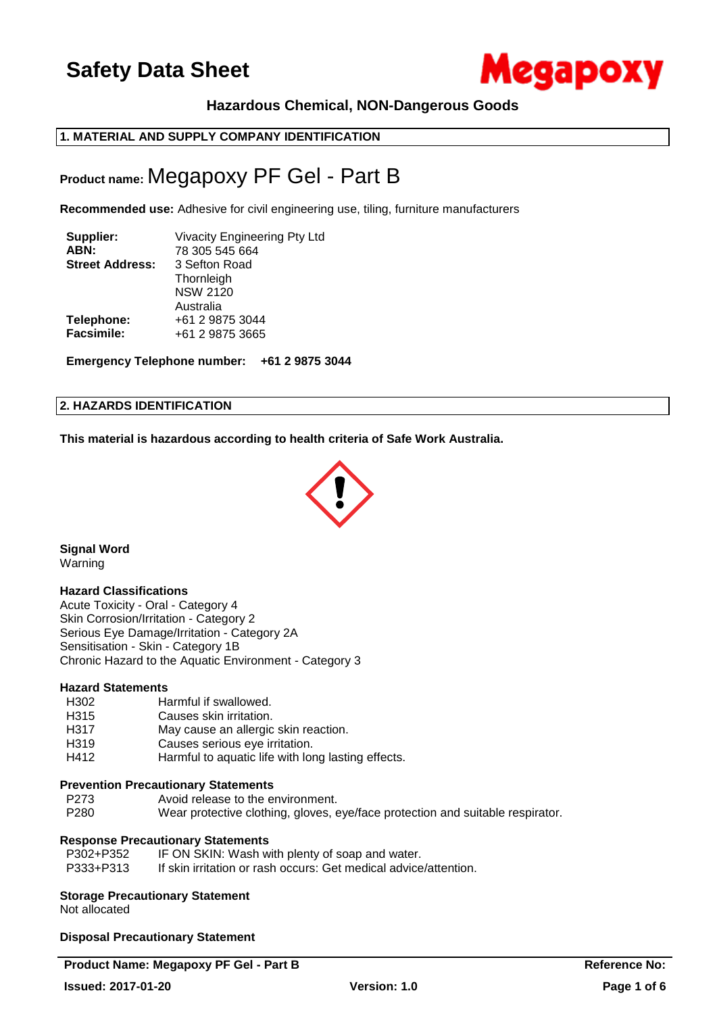

## **Hazardous Chemical, NON-Dangerous Goods**

## **1. MATERIAL AND SUPPLY COMPANY IDENTIFICATION**

## **Product name:** Megapoxy PF Gel - Part B

**Recommended use:** Adhesive for civil engineering use, tiling, furniture manufacturers

| Supplier:<br>ABN:      | <b>Vivacity Engineering Pty Ltd</b><br>78 305 545 664 |
|------------------------|-------------------------------------------------------|
| <b>Street Address:</b> | 3 Sefton Road                                         |
|                        | Thornleigh                                            |
|                        | <b>NSW 2120</b>                                       |
|                        | Australia                                             |
| Telephone:             | +61 2 9875 3044                                       |
| <b>Facsimile:</b>      | +61 2 9875 3665                                       |
|                        |                                                       |

**Emergency Telephone number: +61 2 9875 3044**

#### **2. HAZARDS IDENTIFICATION**

**This material is hazardous according to health criteria of Safe Work Australia.**



**Signal Word** Warning

#### **Hazard Classifications**

Acute Toxicity - Oral - Category 4 Skin Corrosion/Irritation - Category 2 Serious Eye Damage/Irritation - Category 2A Sensitisation - Skin - Category 1B Chronic Hazard to the Aquatic Environment - Category 3

#### **Hazard Statements**

- H302 Harmful if swallowed.
- H315 Causes skin irritation.
- H317 May cause an allergic skin reaction.
- H319 Causes serious eye irritation.
- H412 Harmful to aquatic life with long lasting effects.

## **Prevention Precautionary Statements**

- P273 Avoid release to the environment.
- P280 Wear protective clothing, gloves, eye/face protection and suitable respirator.

## **Response Precautionary Statements**

| P302+P352 | IF ON SKIN: Wash with plenty of soap and water.                  |
|-----------|------------------------------------------------------------------|
| P333+P313 | If skin irritation or rash occurs: Get medical advice/attention. |

## **Storage Precautionary Statement**

Not allocated

**Disposal Precautionary Statement**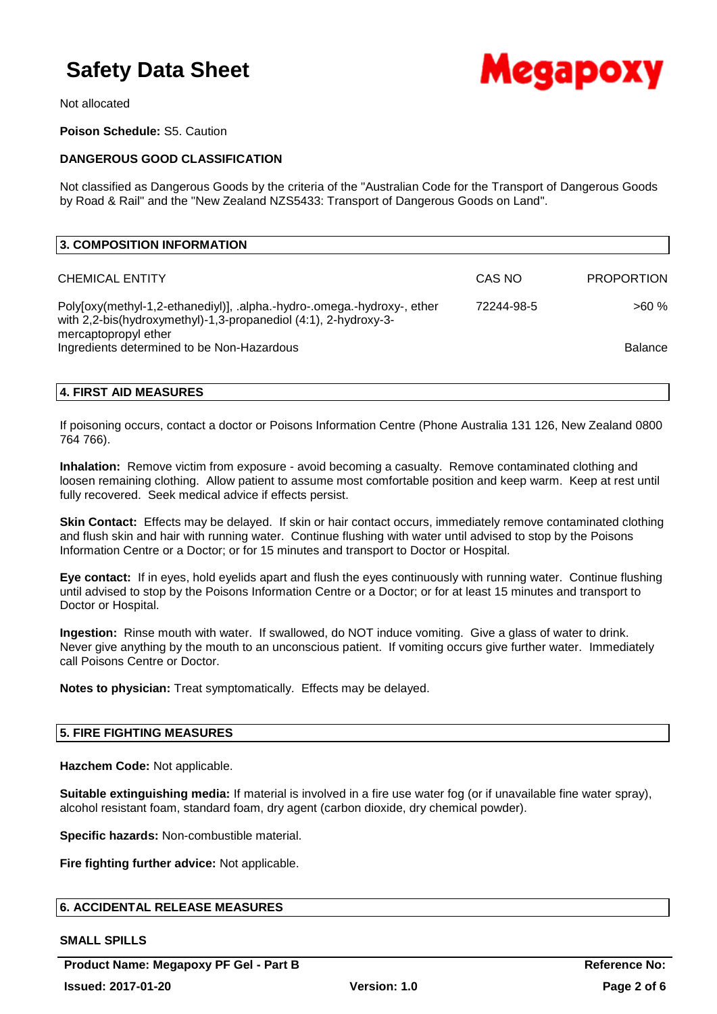

Not allocated

**Poison Schedule:** S5. Caution

### **DANGEROUS GOOD CLASSIFICATION**

Not classified as Dangerous Goods by the criteria of the "Australian Code for the Transport of Dangerous Goods by Road & Rail" and the "New Zealand NZS5433: Transport of Dangerous Goods on Land".

| 3. COMPOSITION INFORMATION                                                                                                                                         |            |                   |
|--------------------------------------------------------------------------------------------------------------------------------------------------------------------|------------|-------------------|
| <b>CHEMICAL ENTITY</b>                                                                                                                                             | CAS NO     | <b>PROPORTION</b> |
| Poly[oxy(methyl-1,2-ethanediyl)], .alpha.-hydro-.omega.-hydroxy-, ether<br>with 2,2-bis(hydroxymethyl)-1,3-propanediol (4:1), 2-hydroxy-3-<br>mercaptopropyl ether | 72244-98-5 | $>60\%$           |
| Ingredients determined to be Non-Hazardous                                                                                                                         |            | <b>Balance</b>    |

#### **4. FIRST AID MEASURES**

If poisoning occurs, contact a doctor or Poisons Information Centre (Phone Australia 131 126, New Zealand 0800 764 766).

**Inhalation:** Remove victim from exposure - avoid becoming a casualty. Remove contaminated clothing and loosen remaining clothing. Allow patient to assume most comfortable position and keep warm. Keep at rest until fully recovered. Seek medical advice if effects persist.

**Skin Contact:** Effects may be delayed. If skin or hair contact occurs, immediately remove contaminated clothing and flush skin and hair with running water. Continue flushing with water until advised to stop by the Poisons Information Centre or a Doctor; or for 15 minutes and transport to Doctor or Hospital.

**Eye contact:** If in eyes, hold eyelids apart and flush the eyes continuously with running water. Continue flushing until advised to stop by the Poisons Information Centre or a Doctor; or for at least 15 minutes and transport to Doctor or Hospital.

**Ingestion:** Rinse mouth with water. If swallowed, do NOT induce vomiting. Give a glass of water to drink. Never give anything by the mouth to an unconscious patient. If vomiting occurs give further water. Immediately call Poisons Centre or Doctor.

**Notes to physician:** Treat symptomatically. Effects may be delayed.

#### **5. FIRE FIGHTING MEASURES**

**Hazchem Code:** Not applicable.

**Suitable extinguishing media:** If material is involved in a fire use water fog (or if unavailable fine water spray), alcohol resistant foam, standard foam, dry agent (carbon dioxide, dry chemical powder).

**Specific hazards:** Non-combustible material.

**Fire fighting further advice:** Not applicable.

#### **6. ACCIDENTAL RELEASE MEASURES**

#### **SMALL SPILLS**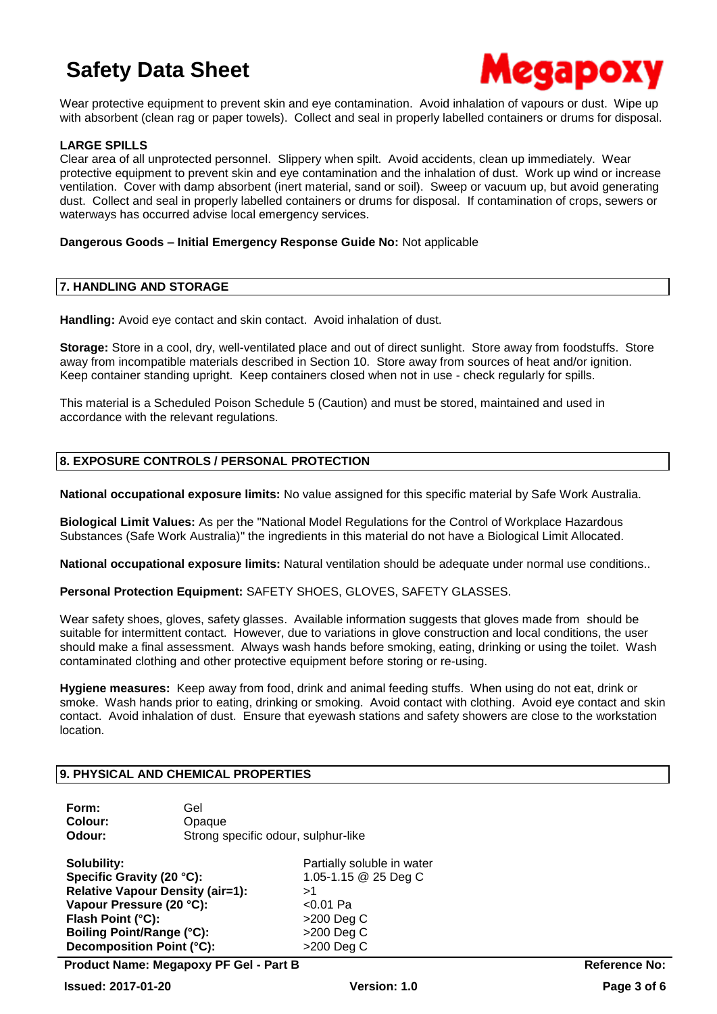

Wear protective equipment to prevent skin and eye contamination. Avoid inhalation of vapours or dust. Wipe up with absorbent (clean rag or paper towels). Collect and seal in properly labelled containers or drums for disposal.

#### **LARGE SPILLS**

Clear area of all unprotected personnel. Slippery when spilt. Avoid accidents, clean up immediately. Wear protective equipment to prevent skin and eye contamination and the inhalation of dust. Work up wind or increase ventilation. Cover with damp absorbent (inert material, sand or soil). Sweep or vacuum up, but avoid generating dust. Collect and seal in properly labelled containers or drums for disposal. If contamination of crops, sewers or waterways has occurred advise local emergency services.

#### **Dangerous Goods – Initial Emergency Response Guide No:** Not applicable

#### **7. HANDLING AND STORAGE**

**Handling:** Avoid eye contact and skin contact. Avoid inhalation of dust.

**Storage:** Store in a cool, dry, well-ventilated place and out of direct sunlight. Store away from foodstuffs. Store away from incompatible materials described in Section 10. Store away from sources of heat and/or ignition. Keep container standing upright. Keep containers closed when not in use - check regularly for spills.

This material is a Scheduled Poison Schedule 5 (Caution) and must be stored, maintained and used in accordance with the relevant regulations.

#### **8. EXPOSURE CONTROLS / PERSONAL PROTECTION**

**National occupational exposure limits:** No value assigned for this specific material by Safe Work Australia.

**Biological Limit Values:** As per the "National Model Regulations for the Control of Workplace Hazardous Substances (Safe Work Australia)" the ingredients in this material do not have a Biological Limit Allocated.

**National occupational exposure limits:** Natural ventilation should be adequate under normal use conditions..

**Personal Protection Equipment:** SAFETY SHOES, GLOVES, SAFETY GLASSES.

Wear safety shoes, gloves, safety glasses. Available information suggests that gloves made from should be suitable for intermittent contact. However, due to variations in glove construction and local conditions, the user should make a final assessment. Always wash hands before smoking, eating, drinking or using the toilet. Wash contaminated clothing and other protective equipment before storing or re-using.

**Hygiene measures:** Keep away from food, drink and animal feeding stuffs. When using do not eat, drink or smoke. Wash hands prior to eating, drinking or smoking. Avoid contact with clothing. Avoid eye contact and skin contact. Avoid inhalation of dust. Ensure that eyewash stations and safety showers are close to the workstation location.

#### **9. PHYSICAL AND CHEMICAL PROPERTIES**

| Form:   | Gel                                 |
|---------|-------------------------------------|
| Colour: | Opaque                              |
| Odour:  | Strong specific odour, sulphur-like |

**Solubility: Partially soluble in water Specific Gravity (20 °C):** 1.05-1.15 @ 25 Deg C **Relative Vapour Density (air=1):** >1 **Vapour Pressure (20 °C):** <0.01 Pa **Flash Point (°C):**  $>200 \text{ Deq C}$ **Boiling Point/Range (°C):** >200 Deg C **Decomposition Point (°C):**  $>200$  Deg C

**Product Name: Megapoxy PF Gel - Part B Reference No:**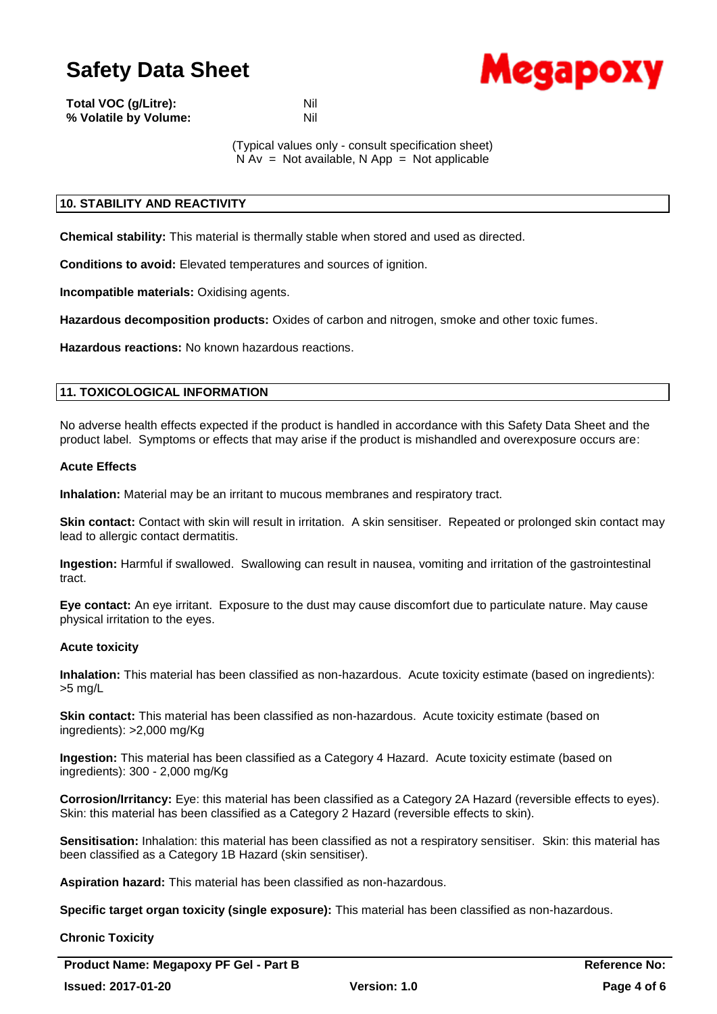

| Total VOC (g/Litre):  | Nil |
|-----------------------|-----|
| % Volatile by Volume: | Nil |

(Typical values only - consult specification sheet)

 $N Av = Not available, N App = Not applicable$ 

### **10. STABILITY AND REACTIVITY**

**Chemical stability:** This material is thermally stable when stored and used as directed.

**Conditions to avoid:** Elevated temperatures and sources of ignition.

**Incompatible materials:** Oxidising agents.

**Hazardous decomposition products:** Oxides of carbon and nitrogen, smoke and other toxic fumes.

**Hazardous reactions:** No known hazardous reactions.

#### **11. TOXICOLOGICAL INFORMATION**

No adverse health effects expected if the product is handled in accordance with this Safety Data Sheet and the product label. Symptoms or effects that may arise if the product is mishandled and overexposure occurs are:

#### **Acute Effects**

**Inhalation:** Material may be an irritant to mucous membranes and respiratory tract.

**Skin contact:** Contact with skin will result in irritation. A skin sensitiser. Repeated or prolonged skin contact may lead to allergic contact dermatitis.

**Ingestion:** Harmful if swallowed. Swallowing can result in nausea, vomiting and irritation of the gastrointestinal tract.

**Eye contact:** An eye irritant. Exposure to the dust may cause discomfort due to particulate nature. May cause physical irritation to the eyes.

#### **Acute toxicity**

**Inhalation:** This material has been classified as non-hazardous. Acute toxicity estimate (based on ingredients): >5 mg/L

**Skin contact:** This material has been classified as non-hazardous. Acute toxicity estimate (based on ingredients): >2,000 mg/Kg

**Ingestion:** This material has been classified as a Category 4 Hazard. Acute toxicity estimate (based on ingredients): 300 - 2,000 mg/Kg

**Corrosion/Irritancy:** Eye: this material has been classified as a Category 2A Hazard (reversible effects to eyes). Skin: this material has been classified as a Category 2 Hazard (reversible effects to skin).

**Sensitisation:** Inhalation: this material has been classified as not a respiratory sensitiser. Skin: this material has been classified as a Category 1B Hazard (skin sensitiser).

**Aspiration hazard:** This material has been classified as non-hazardous.

**Specific target organ toxicity (single exposure):** This material has been classified as non-hazardous.

**Chronic Toxicity**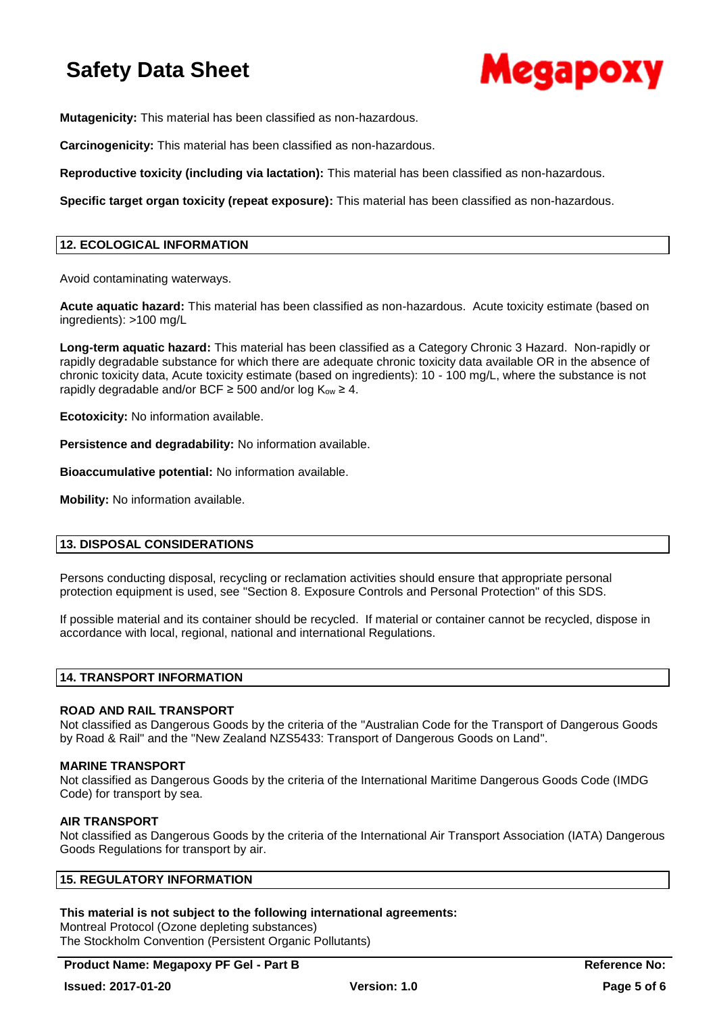

**Mutagenicity:** This material has been classified as non-hazardous.

**Carcinogenicity:** This material has been classified as non-hazardous.

**Reproductive toxicity (including via lactation):** This material has been classified as non-hazardous.

**Specific target organ toxicity (repeat exposure):** This material has been classified as non-hazardous.

#### **12. ECOLOGICAL INFORMATION**

Avoid contaminating waterways.

**Acute aquatic hazard:** This material has been classified as non-hazardous. Acute toxicity estimate (based on ingredients): >100 mg/L

**Long-term aquatic hazard:** This material has been classified as a Category Chronic 3 Hazard. Non-rapidly or rapidly degradable substance for which there are adequate chronic toxicity data available OR in the absence of chronic toxicity data, Acute toxicity estimate (based on ingredients): 10 - 100 mg/L, where the substance is not rapidly degradable and/or BCF  $\geq$  500 and/or log K<sub>ow</sub>  $\geq$  4.

**Ecotoxicity:** No information available.

**Persistence and degradability:** No information available.

**Bioaccumulative potential:** No information available.

**Mobility:** No information available.

#### **13. DISPOSAL CONSIDERATIONS**

Persons conducting disposal, recycling or reclamation activities should ensure that appropriate personal protection equipment is used, see "Section 8. Exposure Controls and Personal Protection" of this SDS.

If possible material and its container should be recycled. If material or container cannot be recycled, dispose in accordance with local, regional, national and international Regulations.

#### **14. TRANSPORT INFORMATION**

#### **ROAD AND RAIL TRANSPORT**

Not classified as Dangerous Goods by the criteria of the "Australian Code for the Transport of Dangerous Goods by Road & Rail" and the "New Zealand NZS5433: Transport of Dangerous Goods on Land".

#### **MARINE TRANSPORT**

Not classified as Dangerous Goods by the criteria of the International Maritime Dangerous Goods Code (IMDG Code) for transport by sea.

#### **AIR TRANSPORT**

Not classified as Dangerous Goods by the criteria of the International Air Transport Association (IATA) Dangerous Goods Regulations for transport by air.

### **15. REGULATORY INFORMATION**

#### **This material is not subject to the following international agreements:**

Montreal Protocol (Ozone depleting substances) The Stockholm Convention (Persistent Organic Pollutants)